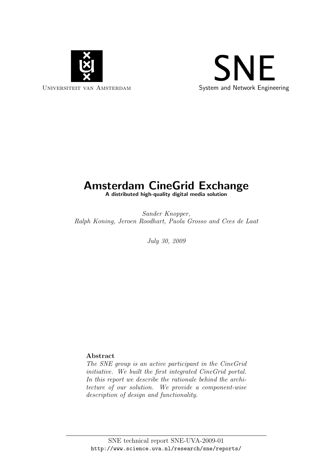



# Amsterdam CineGrid Exchange

A distributed high-quality digital media solution

Sander Knopper, Ralph Koning, Jeroen Roodhart, Paola Grosso and Cees de Laat

July 30, 2009

## Abstract

The SNE group is an active participant in the CineGrid initiative. We built the first integrated CineGrid portal. In this report we describe the rationale behind the architecture of our solution. We provide a component-wise description of design and functionality.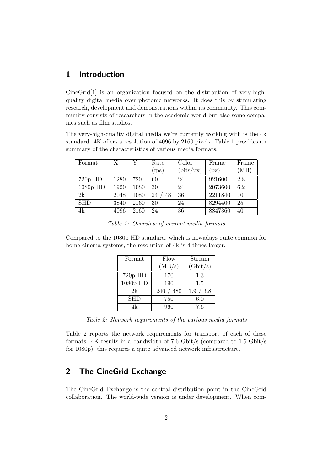## 1 Introduction

CineGrid[1] is an organization focused on the distribution of very-highquality digital media over photonic networks. It does this by stimulating research, development and demonstrations within its community. This community consists of researchers in the academic world but also some companies such as film studios.

The very-high-quality digital media we're currently working with is the 4k standard. 4K offers a resolution of 4096 by 2160 pixels. Table 1 provides an summary of the characteristics of various media formats.

| Format     | X.   | Y    | Rate          | Color              | Frame   | Frame |
|------------|------|------|---------------|--------------------|---------|-------|
|            |      |      | $({\rm fps})$ | $(\text{bits/px})$ | (px)    | (MB)  |
| $720p$ HD  | 1280 | 720  | 60            | 24                 | 921600  | 2.8   |
| $1080p$ HD | 1920 | 1080 | 30            | 24                 | 2073600 | 6.2   |
| 2k         | 2048 | 1080 | 24<br>48      | 36                 | 2211840 | 10    |
| <b>SHD</b> | 3840 | 2160 | 30            | 24                 | 8294400 | 25    |
| 4k         | 4096 | 2160 | 24            | 36                 | 8847360 | 40    |

Table 1: Overview of current media formats

Compared to the 1080p HD standard, which is nowadays quite common for home cinema systems, the resolution of 4k is 4 times larger.

| Format     | Flow       | Stream                   |  |
|------------|------------|--------------------------|--|
|            | (MB/s)     | (Gbit/s)                 |  |
| $720p$ HD  | 170        | 1.3                      |  |
| 1080p HD   | 190        | 1.5                      |  |
| 2k         | 240<br>480 | /3.8<br>1.9 <sub>1</sub> |  |
| <b>SHD</b> | 750        | 6.0                      |  |
| 4k         | 960        | 7.6                      |  |

Table 2: Network requirements of the various media formats

Table 2 reports the network requirements for transport of each of these formats. 4K results in a bandwidth of 7.6 Gbit/s (compared to 1.5 Gbit/s for 1080p); this requires a quite advanced network infrastructure.

# 2 The CineGrid Exchange

The CineGrid Exchange is the central distribution point in the CineGrid collaboration. The world-wide version is under development. When com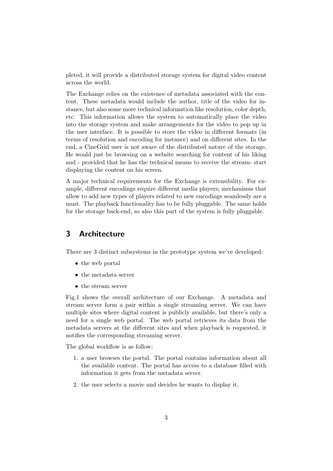pleted, it will provide a distributed storage system for digital video content across the world.

The Exchange relies on the existence of metadata associated with the content. These metadata would include the author, title of the video for instance, but also some more technical information like resolution, color depth, etc. This information allows the system to automatically place the video into the storage system and make arrangements for the video to pop up in the user interface. It is possible to store the video in different formats (in terms of resolution and encoding for instance) and on different sites. In the end, a CineGrid user is not aware of the distributed nature of the storage. He would just be browsing on a website searching for content of his liking and - provided that he has the technical means to receive the stream- start displaying the content on his screen.

A major technical requirements for the Exchange is extensibility. For example, different encodings require different media players; mechanisms that allow to add new types of players related to new encodings seamlessly are a must. The playback functionality has to be fully pluggable. The same holds for the storage back-end, so also this part of the system is fully pluggable.

## 3 Architecture

There are 3 distinct subsystems in the prototype system we've developed:

- the web portal
- the metadata server
- the stream server

Fig.1 shows the overall architecture of our Exchange. A metadata and stream server form a pair within a single streaming server. We can have multiple sites where digital content is publicly available, but there's only a need for a single web portal. The web portal retrieves its data from the metadata servers at the different sites and when playback is requested, it notifies the corresponding streaming server.

The global workflow is as follow:

- 1. a user browses the portal. The portal contains information about all the available content. The portal has access to a database filled with information it gets from the metadata server.
- 2. the user selects a movie and decides he wants to display it.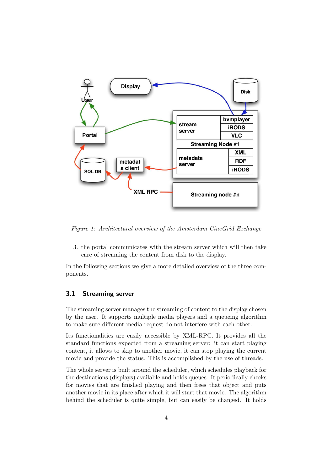

Figure 1: Architectural overview of the Amsterdam CineGrid Exchange

3. the portal communicates with the stream server which will then take care of streaming the content from disk to the display.

In the following sections we give a more detailed overview of the three components.

#### 3.1 Streaming server

The streaming server manages the streaming of content to the display chosen by the user. It supports multiple media players and a queueing algorithm to make sure different media request do not interfere with each other.

Its functionalities are easily accessible by XML-RPC. It provides all the standard functions expected from a streaming server: it can start playing content, it allows to skip to another movie, it can stop playing the current movie and provide the status. This is accomplished by the use of threads.

The whole server is built around the scheduler, which schedules playback for the destinations (displays) available and holds queues. It periodically checks for movies that are finished playing and then frees that object and puts another movie in its place after which it will start that movie. The algorithm behind the scheduler is quite simple, but can easily be changed. It holds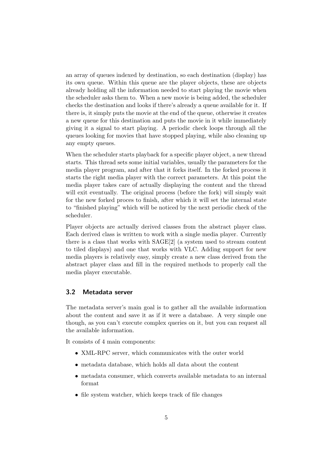an array of queues indexed by destination, so each destination (display) has its own queue. Within this queue are the player objects, these are objects already holding all the information needed to start playing the movie when the scheduler asks them to. When a new movie is being added, the scheduler checks the destination and looks if there's already a queue available for it. If there is, it simply puts the movie at the end of the queue, otherwise it creates a new queue for this destination and puts the movie in it while immediately giving it a signal to start playing. A periodic check loops through all the queues looking for movies that have stopped playing, while also cleaning up any empty queues.

When the scheduler starts playback for a specific player object, a new thread starts. This thread sets some initial variables, usually the parameters for the media player program, and after that it forks itself. In the forked process it starts the right media player with the correct parameters. At this point the media player takes care of actually displaying the content and the thread will exit eventually. The original process (before the fork) will simply wait for the new forked proces to finish, after which it will set the internal state to "finished playing" which will be noticed by the next periodic check of the scheduler.

Player objects are actually derived classes from the abstract player class. Each derived class is written to work with a single media player. Currently there is a class that works with SAGE[2] (a system used to stream content to tiled displays) and one that works with VLC. Adding support for new media players is relatively easy, simply create a new class derived from the abstract player class and fill in the required methods to properly call the media player executable.

#### 3.2 Metadata server

The metadata server's main goal is to gather all the available information about the content and save it as if it were a database. A very simple one though, as you can't execute complex queries on it, but you can request all the available information.

It consists of 4 main components:

- XML-RPC server, which communicates with the outer world
- metadata database, which holds all data about the content
- metadata consumer, which converts available metadata to an internal format
- file system watcher, which keeps track of file changes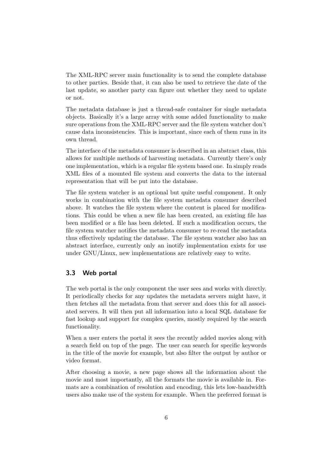The XML-RPC server main functionality is to send the complete database to other parties. Beside that, it can also be used to retrieve the date of the last update, so another party can figure out whether they need to update or not.

The metadata database is just a thread-safe container for single metadata objects. Basically it's a large array with some added functionality to make sure operations from the XML-RPC server and the file system watcher don't cause data inconsistencies. This is important, since each of them runs in its own thread.

The interface of the metadata consumer is described in an abstract class, this allows for multiple methods of harvesting metadata. Currently there's only one implementation, which is a regular file system based one. In simply reads XML files of a mounted file system and converts the data to the internal representation that will be put into the database.

The file system watcher is an optional but quite useful component. It only works in combination with the file system metadata consumer described above. It watches the file system where the content is placed for modifications. This could be when a new file has been created, an existing file has been modified or a file has been deleted. If such a modification occurs, the file system watcher notifies the metadata consumer to re-read the metadata thus effectively updating the database. The file system watcher also has an abstract interface, currently only an inotify implementation exists for use under GNU/Linux, new implementations are relatively easy to write.

#### 3.3 Web portal

The web portal is the only component the user sees and works with directly. It periodically checks for any updates the metadata servers might have, it then fetches all the metadata from that server and does this for all associated servers. It will then put all information into a local SQL database for fast lookup and support for complex queries, mostly required by the search functionality.

When a user enters the portal it sees the recently added movies along with a search field on top of the page. The user can search for specific keywords in the title of the movie for example, but also filter the output by author or video format.

After choosing a movie, a new page shows all the information about the movie and most importantly, all the formats the movie is available in. Formats are a combination of resolution and encoding, this lets low-bandwidth users also make use of the system for example. When the preferred format is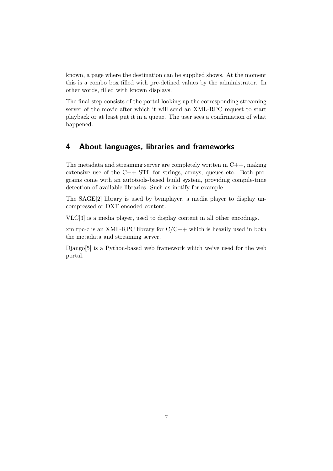known, a page where the destination can be supplied shows. At the moment this is a combo box filled with pre-defined values by the administrator. In other words, filled with known displays.

The final step consists of the portal looking up the corresponding streaming server of the movie after which it will send an XML-RPC request to start playback or at least put it in a queue. The user sees a confirmation of what happened.

## 4 About languages, libraries and frameworks

The metadata and streaming server are completely written in C++, making extensive use of the  $C++$  STL for strings, arrays, queues etc. Both programs come with an autotools-based build system, providing compile-time detection of available libraries. Such as inotify for example.

The SAGE[2] library is used by bvmplayer, a media player to display uncompressed or DXT encoded content.

VLC[3] is a media player, used to display content in all other encodings.

xmlrpc-c is an XML-RPC library for  $C/C++$  which is heavily used in both the metadata and streaming server.

Django[5] is a Python-based web framework which we've used for the web portal.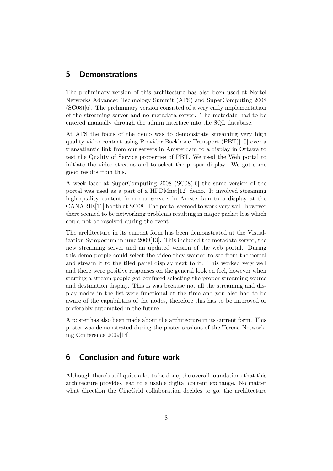### 5 Demonstrations

The preliminary version of this architecture has also been used at Nortel Networks Advanced Technology Summit (ATS) and SuperComputing 2008 (SC08)[6]. The preliminary version consisted of a very early implementation of the streaming server and no metadata server. The metadata had to be entered manually through the admin interface into the SQL database.

At ATS the focus of the demo was to demonstrate streaming very high quality video content using Provider Backbone Transport (PBT)[10] over a transatlantic link from our servers in Amsterdam to a display in Ottawa to test the Quality of Service properties of PBT. We used the Web portal to initiate the video streams and to select the proper display. We got some good results from this.

A week later at SuperComputing 2008 (SC08)[6] the same version of the portal was used as a part of a HPDMnet[12] demo. It involved streaming high quality content from our servers in Amsterdam to a display at the CANARIE[11] booth at SC08. The portal seemed to work very well, however there seemed to be networking problems resulting in major packet loss which could not be resolved during the event.

The architecture in its current form has been demonstrated at the Visualization Symposium in june 2009[13]. This included the metadata server, the new streaming server and an updated version of the web portal. During this demo people could select the video they wanted to see from the portal and stream it to the tiled panel display next to it. This worked very well and there were positive responses on the general look en feel, however when starting a stream people got confused selecting the proper streaming source and destination display. This is was because not all the streaming and display nodes in the list were functional at the time and you also had to be aware of the capabilities of the nodes, therefore this has to be improved or preferably automated in the future.

A poster has also been made about the architecture in its current form. This poster was demonstrated during the poster sessions of the Terena Networking Conference 2009[14].

## 6 Conclusion and future work

Although there's still quite a lot to be done, the overall foundations that this architecture provides lead to a usable digital content exchange. No matter what direction the CineGrid collaboration decides to go, the architecture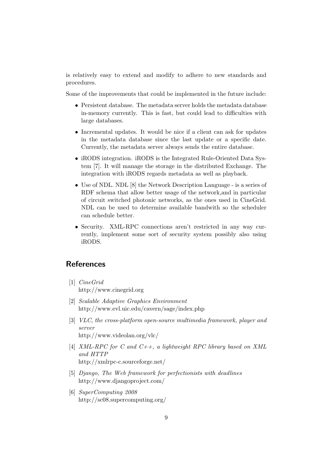is relatively easy to extend and modify to adhere to new standards and procedures.

Some of the improvements that could be implemented in the future include:

- Persistent database. The metadata server holds the metadata database in-memory currently. This is fast, but could lead to difficulties with large databases.
- Incremental updates. It would be nice if a client can ask for updates in the metadata database since the last update or a specific date. Currently, the metadata server always sends the entire database.
- iRODS integration. iRODS is the Integrated Rule-Oriented Data System [7]. It will manage the storage in the distributed Exchange. The integration with iRODS regards metadata as well as playback.
- Use of NDL. NDL [8] the Network Description Language is a series of RDF schema that allow better usage of the network,and in particular of circuit switched photonic networks, as the ones used in CineGrid. NDL can be used to determine available bandwith so the scheduler can schedule better.
- Security. XML-RPC connections aren't restricted in any way currently, implement some sort of security system possibly also using iRODS.

# References

- [1] CineGrid http://www.cinegrid.org
- [2] Scalable Adaptive Graphics Environment http://www.evl.uic.edu/cavern/sage/index.php
- [3] VLC, the cross-platform open-source multimedia framework, player and server http://www.videolan.org/vlc/
- [4] XML-RPC for C and  $C_{++}$ , a lightweight RPC library based on XML and HTTP http://xmlrpc-c.sourceforge.net/
- [5] Django, The Web framework for perfectionists with deadlines http://www.djangoproject.com/
- [6] SuperComputing 2008 http://sc08.supercomputing.org/